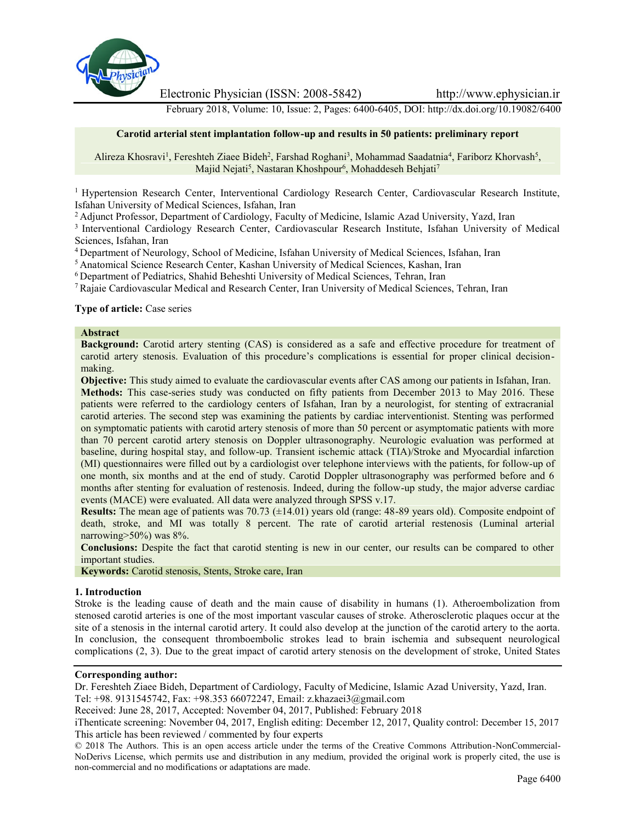

Electronic Physician (ISSN: 2008-5842) http://www.ephysician.ir

February 2018, Volume: 10, Issue: 2, Pages: 6400-6405, DOI: http://dx.doi.org/10.19082/6400

### **Carotid arterial stent implantation follow-up and results in 50 patients: preliminary report**

Alireza Khosravi<sup>1</sup>, Fereshteh Ziaee Bideh<sup>2</sup>, Farshad Roghani<sup>3</sup>, Mohammad Saadatnia<sup>4</sup>, Fariborz Khorvash<sup>5</sup>, Majid Nejati<sup>5</sup>, Nastaran Khoshpour<sup>6</sup>, Mohaddeseh Behjati<sup>7</sup>

<sup>1</sup> Hypertension Research Center, Interventional Cardiology Research Center, Cardiovascular Research Institute, Isfahan University of Medical Sciences, Isfahan, Iran

<sup>2</sup> Adjunct Professor, Department of Cardiology, Faculty of Medicine, Islamic Azad University, Yazd, Iran

<sup>3</sup> Interventional Cardiology Research Center, Cardiovascular Research Institute, Isfahan University of Medical Sciences, Isfahan, Iran

<sup>4</sup> Department of Neurology, School of Medicine, Isfahan University of Medical Sciences, Isfahan, Iran

<sup>5</sup> Anatomical Science Research Center, Kashan University of Medical Sciences, Kashan, Iran

<sup>6</sup> Department of Pediatrics, Shahid Beheshti University of Medical Sciences, Tehran, Iran

<sup>7</sup> Rajaie Cardiovascular Medical and Research Center, Iran University of Medical Sciences, Tehran, Iran

#### **Type of article:** Case series

#### **Abstract**

**Background:** Carotid artery stenting (CAS) is considered as a safe and effective procedure for treatment of carotid artery stenosis. Evaluation of this procedure's complications is essential for proper clinical decision making.

**Objective:** This study aimed to evaluate the cardiovascular events after CAS among our patients in Isfahan, Iran. **Methods:** This case-series study was conducted on fifty patients from December 2013 to May 2016. These patients were referred to the cardiology centers of Isfahan, Iran by a neurologist, for stenting of extracranial carotid arteries. The second step was examining the patients by cardiac interventionist. Stenting was performed on symptomatic patients with carotid artery stenosis of more than 50 percent or asymptomatic patients with more than 70 percent carotid artery stenosis on Doppler ultrasonography. Neurologic evaluation was performed at baseline, during hospital stay, and follow-up. Transient ischemic attack (TIA)/Stroke and Myocardial infarction (MI) questionnaires were filled out by a cardiologist over telephone interviews with the patients, for follow-up of one month, six months and at the end of study. Carotid Doppler ultrasonography was performed before and 6 months after stenting for evaluation of restenosis. Indeed, during the follow-up study, the major adverse cardiac events (MACE) were evaluated. All data were analyzed through SPSS v.17.

**Results:** The mean age of patients was 70.73 (±14.01) years old (range: 48-89 years old). Composite endpoint of death, stroke, and MI was totally 8 percent. The rate of carotid arterial restenosis (Luminal arterial narrowing>50%) was 8%.

**Conclusions:** Despite the fact that carotid stenting is new in our center, our results can be compared to other important studies.

**Keywords:** Carotid stenosis, Stents, Stroke care, Iran

#### **1. Introduction**

Stroke is the leading cause of death and the main cause of disability in humans (1). Atheroembolization from stenosed carotid arteries is one of the most important vascular causes of stroke. Atherosclerotic plaques occur at the site of a stenosis in the internal carotid artery. It could also develop at the junction of the carotid artery to the aorta. In conclusion, the consequent thromboembolic strokes lead to brain ischemia and subsequent neurological complications (2, 3). Due to the great impact of carotid artery stenosis on the development of stroke, United States

#### **Corresponding author:**

Dr. Fereshteh Ziaee Bideh, Department of Cardiology, Faculty of Medicine, Islamic Azad University, Yazd, Iran. Tel: +98. 9131545742, Fax: +98.353 66072247, Email: z.khazaei3@gmail.com

Received: June 28, 2017, Accepted: November 04, 2017, Published: February 2018

© 2018 The Authors. This is an open access article under the terms of the Creative Commons Attribution-NonCommercial- NoDerivs License, which permits use and distribution in any medium, provided the original work is properly cited, the use is non-commercial and no modifications or adaptations are made.

iThenticate screening: November 04, 2017, English editing: December 12, 2017, Quality control: December 15, 2017 This article has been reviewed / commented by four experts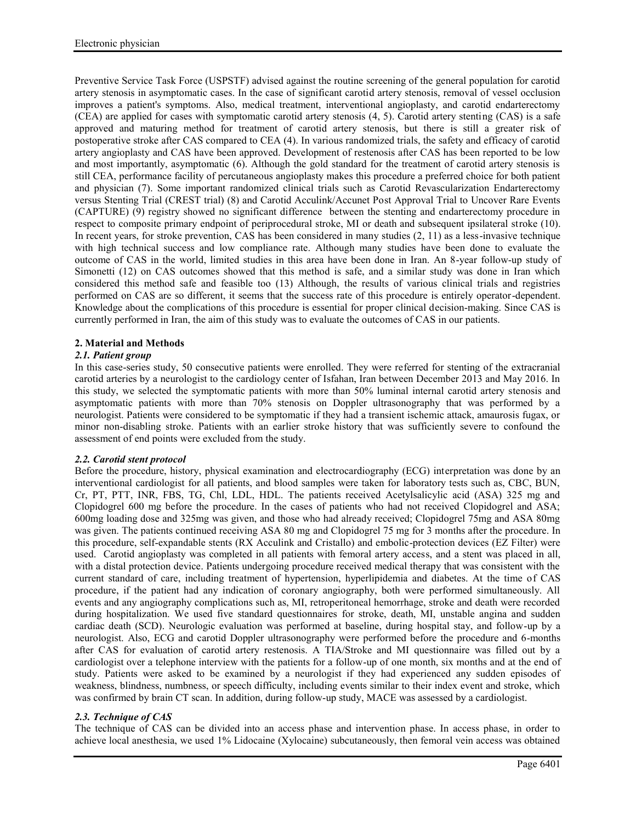Preventive Service Task Force (USPSTF) advised against the routine screening of the general population for carotid artery stenosis in asymptomatic cases. In the case of significant carotid artery stenosis, removal of vessel occlusion improves a patient's symptoms. Also, medical treatment, interventional angioplasty, and carotid endarterectomy (CEA) are applied for cases with symptomatic carotid artery stenosis (4, 5). Carotid artery stenting (CAS) is a safe approved and maturing method for treatment of carotid artery stenosis, but there is still a greater risk of postoperative stroke after CAS compared to CEA (4). In various randomized trials, the safety and efficacy of carotid artery angioplasty and CAS have been approved. Development of restenosis after CAS has been reported to be low and most importantly, asymptomatic (6). Although the gold standard for the treatment of carotid artery stenosis is still CEA, performance facility of percutaneous angioplasty makes this procedure a preferred choice for both patient and physician (7). Some important randomized clinical trials such as Carotid Revascularization Endarterectomy versus Stenting Trial (CREST trial) (8) and Carotid Acculink/Accunet Post Approval Trial to Uncover Rare Events (CAPTURE) (9) registry showed no significant difference between the stenting and endarterectomy procedure in respect to composite primary endpoint of periprocedural stroke, MI or death and subsequent ipsilateral stroke (10). In recent years, for stroke prevention, CAS has been considered in many studies (2, 11) as a less-invasive technique with high technical success and low compliance rate. Although many studies have been done to evaluate the outcome of CAS in the world, limited studies in this area have been done in Iran. An 8-year follow-up study of Simonetti (12) on CAS outcomes showed that this method is safe, and a similar study was done in Iran which considered this method safe and feasible too (13) Although, the results of various clinical trials and registries performed on CAS are so different, it seems that the success rate of this procedure is entirely operator-dependent. Knowledge about the complications of this procedure is essential for proper clinical decision-making. Since CAS is currently performed in Iran, the aim of this study was to evaluate the outcomes of CAS in our patients.

# **2. Material and Methods**

# *2.1. Patient group*

In this case-series study, 50 consecutive patients were enrolled. They were referred for stenting of the extracranial carotid arteries by a neurologist to the cardiology center of Isfahan, Iran between December 2013 and May 2016. In this study, we selected the symptomatic patients with more than 50% luminal internal carotid artery stenosis and asymptomatic patients with more than 70% stenosis on Doppler ultrasonography that was performed by a neurologist. Patients were considered to be symptomatic if they had a transient ischemic attack, amaurosis fugax, or minor non-disabling stroke. Patients with an earlier stroke history that was sufficiently severe to confound the assessment of end points were excluded from the study.

## *2.2. Carotid stent protocol*

Before the procedure, history, physical examination and electrocardiography (ECG) interpretation was done by an interventional cardiologist for all patients, and blood samples were taken for laboratory tests such as, CBC, BUN, Cr, PT, PTT, INR, FBS, TG, Chl, LDL, HDL. The patients received Acetylsalicylic acid (ASA) 325 mg and Clopidogrel 600 mg before the procedure. In the cases of patients who had not received Clopidogrel and ASA; 600mg loading dose and 325mg was given, and those who had already received; Clopidogrel 75mg and ASA 80mg was given. The patients continued receiving ASA 80 mg and Clopidogrel 75 mg for 3 months after the procedure. In this procedure, self-expandable stents (RX Acculink and Cristallo) and embolic-protection devices (EZ Filter) were used. Carotid angioplasty was completed in all patients with femoral artery access, and a stent was placed in all, with a distal protection device. Patients undergoing procedure received medical therapy that was consistent with the current standard of care, including treatment of hypertension, hyperlipidemia and diabetes. At the time of CAS procedure, if the patient had any indication of coronary angiography, both were performed simultaneously. All events and any angiography complications such as, MI, retroperitoneal hemorrhage, stroke and death were recorded during hospitalization. We used five standard questionnaires for stroke, death, MI, unstable angina and sudden cardiac death (SCD). Neurologic evaluation was performed at baseline, during hospital stay, and follow-up by a neurologist. Also, ECG and carotid Doppler ultrasonography were performed before the procedure and 6-months after CAS for evaluation of carotid artery restenosis. A TIA/Stroke and MI questionnaire was filled out by a cardiologist over a telephone interview with the patients for a follow-up of one month, six months and at the end of study. Patients were asked to be examined by a neurologist if they had experienced any sudden episodes of weakness, blindness, numbness, or speech difficulty, including events similar to their index event and stroke, which was confirmed by brain CT scan. In addition, during follow-up study, MACE was assessed by a cardiologist.

# *2.3. Technique of CAS*

The technique of CAS can be divided into an access phase and intervention phase. In access phase, in order to achieve local anesthesia, we used 1% Lidocaine (Xylocaine) subcutaneously, then femoral vein access was obtained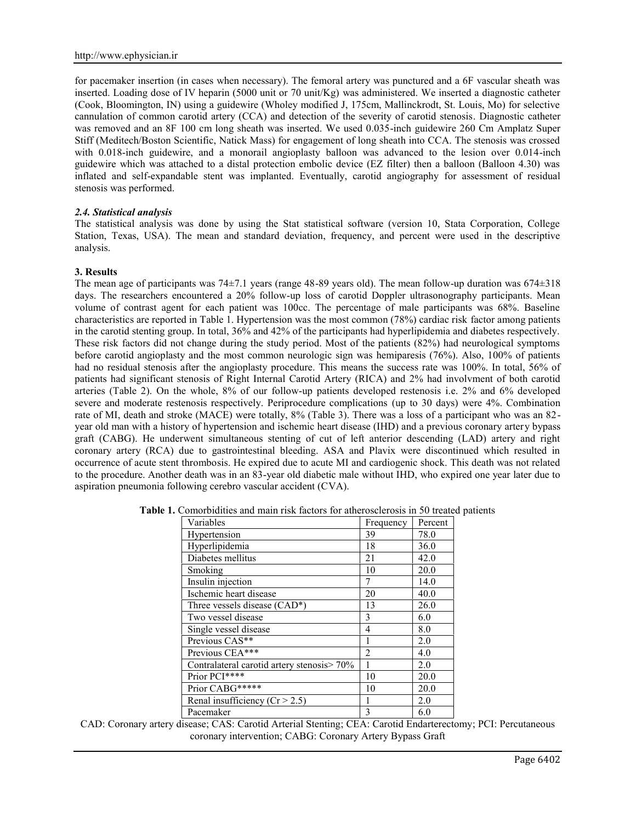for pacemaker insertion (in cases when necessary). The femoral artery was punctured and a 6F vascular sheath was inserted. Loading dose of IV heparin (5000 unit or 70 unit/Kg) was administered. We inserted a diagnostic catheter (Cook, Bloomington, IN) using a guidewire (Wholey modified J, 175cm, Mallinckrodt, St. Louis, Mo) for selective cannulation of common carotid artery (CCA) and detection of the severity of carotid stenosis. Diagnostic catheter was removed and an 8F 100 cm long sheath was inserted. We used 0.035-inch guidewire 260 Cm Amplatz Super Stiff (Meditech/Boston Scientific, Natick Mass) for engagement of long sheath into CCA. The stenosis was crossed with 0.018-inch guidewire, and a monorail angioplasty balloon was advanced to the lesion over 0.014-inch guidewire which was attached to a distal protection embolic device (EZ filter) then a balloon (Balloon 4.30) was inflated and self-expandable stent was implanted. Eventually, carotid angiography for assessment of residual stenosis was performed.

### *2.4. Statistical analysis*

The statistical analysis was done by using the Stat statistical software (version 10, Stata Corporation, College Station, Texas, USA). The mean and standard deviation, frequency, and percent were used in the descriptive analysis.

### **3. Results**

The mean age of participants was 74±7.1 years (range 48-89 years old). The mean follow-up duration was 674±318 days. The researchers encountered a 20% follow-up loss of carotid Doppler ultrasonography participants. Mean volume of contrast agent for each patient was 100cc. The percentage of male participants was 68%. Baseline characteristics are reported in Table 1. Hypertension was the most common (78%) cardiac risk factor among patients in the carotid stenting group. In total, 36% and 42% of the participants had hyperlipidemia and diabetes respectively. These risk factors did not change during the study period. Most of the patients (82%) had neurological symptoms before carotid angioplasty and the most common neurologic sign was hemiparesis (76%). Also, 100% of patients had no residual stenosis after the angioplasty procedure. This means the success rate was 100%. In total, 56% of patients had significant stenosis of Right Internal Carotid Artery (RICA) and 2% had involvment of both carotid arteries (Table 2). On the whole, 8% of our follow-up patients developed restenosis i.e. 2% and 6% developed severe and moderate restenosis respectively. Periprocedure complications (up to 30 days) were 4%. Combination rate of MI, death and stroke (MACE) were totally, 8% (Table 3). There was a loss of a participant who was an 82 year old man with a history of hypertension and ischemic heart disease (IHD) and a previous coronary artery bypass graft (CABG). He underwent simultaneous stenting of cut of left anterior descending (LAD) artery and right coronary artery (RCA) due to gastrointestinal bleeding. ASA and Plavix were discontinued which resulted in occurrence of acute stent thrombosis. He expired due to acute MI and cardiogenic shock. This death was not related to the procedure. Another death was in an 83-year old diabetic male without IHD, who expired one year later due to aspiration pneumonia following cerebro vascular accident (CVA).

| Frequency | Percent |
|-----------|---------|
| 39        | 78.0    |
| 18        | 36.0    |
| 21        | 42.0    |
| 10        | 20.0    |
|           | 14.0    |
| 20        | 40.0    |
| 13        | 26.0    |
| 3         | 6.0     |
| 4         | 8.0     |
|           | 2.0     |
| 2         | 4.0     |
|           | 2.0     |
| 10        | 20.0    |
| 10        | 20.0    |
|           | 2.0     |
| 3         | 6.0     |
|           |         |

**Table 1.** Comorbidities and main risk factors for atherosclerosis in 50 treated patients

CAD: Coronary artery disease; CAS: Carotid Arterial Stenting; CEA: Carotid Endarterectomy; PCI: Percutaneous coronary intervention; CABG: Coronary Artery Bypass Graft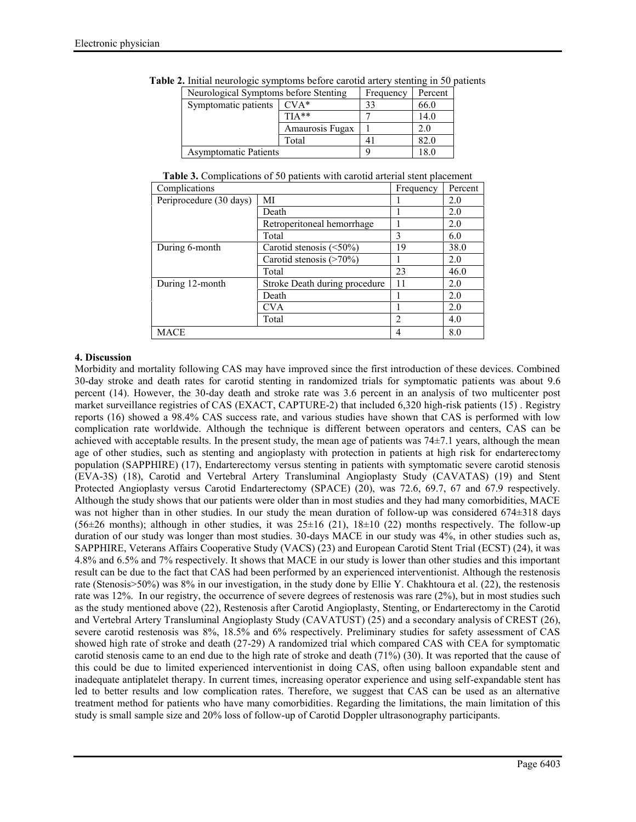| Neurological Symptoms before Stenting |                 | Frequency | Percent |  |
|---------------------------------------|-----------------|-----------|---------|--|
| Symptomatic patients                  | $CVA*$          | 33        | 66.0    |  |
|                                       | $TIA**$         |           | 14.0    |  |
|                                       | Amaurosis Fugax |           | 2.0     |  |
|                                       | Total           | 4         | 82.0    |  |
| <b>Asymptomatic Patients</b>          |                 |           | 8.0     |  |

**Table 2.** Initial neurologic symptoms before carotid artery stenting in 50 patients

| Table 3. Complications of 50 patients with carotid arterial stent placement |  |  |
|-----------------------------------------------------------------------------|--|--|
|-----------------------------------------------------------------------------|--|--|

| Complications           |                                | Frequency      | Percent |
|-------------------------|--------------------------------|----------------|---------|
| Periprocedure (30 days) | MI                             |                | 2.0     |
|                         | Death                          |                | 2.0     |
|                         | Retroperitoneal hemorrhage     |                | 2.0     |
|                         | Total                          | 3              | 6.0     |
| During 6-month          | Carotid stenosis $(\leq 50\%)$ | 19             | 38.0    |
|                         | Carotid stenosis $($ >70%)     |                | 2.0     |
|                         | Total                          | 23             | 46.0    |
| During 12-month         | Stroke Death during procedure  | 11             | 2.0     |
|                         | Death                          |                | 2.0     |
|                         | CVA                            |                | 2.0     |
|                         | Total                          | $\overline{c}$ | 4.0     |
| <b>MACE</b>             |                                | 4              | 8.0     |

### **4. Discussion**

Morbidity and mortality following CAS may have improved since the first introduction of these devices. Combined 30-day stroke and death rates for carotid stenting in randomized trials for symptomatic patients was about 9.6 percent (14). However, the 30-day death and stroke rate was 3.6 percent in an analysis of two multicenter post market surveillance registries of CAS (EXACT, CAPTURE-2) that included 6,320 high-risk patients (15) . Registry reports (16) showed a 98.4% CAS success rate, and various studies have shown that CAS is performed with low complication rate worldwide. Although the technique is different between operators and centers, CAS can be achieved with acceptable results. In the present study, the mean age of patients was  $74\pm7.1$  years, although the mean age of other studies, such as stenting and angioplasty with protection in patients at high risk for endarterectomy population (SAPPHIRE) (17), Endarterectomy versus stenting in patients with symptomatic severe carotid stenosis (EVA-3S) (18), Carotid and Vertebral Artery Transluminal Angioplasty Study (CAVATAS) (19) and Stent Protected Angioplasty versus Carotid Endarterectomy (SPACE) (20), was 72.6, 69.7, 67 and 67.9 respectively. Although the study shows that our patients were older than in most studies and they had many comorbidities, MACE was not higher than in other studies. In our study the mean duration of follow-up was considered 674 $\pm$ 318 days (56 $\pm$ 26 months); although in other studies, it was  $25\pm16$  (21), 18 $\pm10$  (22) months respectively. The follow-up duration of our study was longer than most studies. 30-days MACE in our study was 4%, in other studies such as, SAPPHIRE, Veterans Affairs Cooperative Study (VACS) (23) and European Carotid Stent Trial (ECST) (24), it was 4.8% and 6.5% and 7% respectively. It shows that MACE in our study is lower than other studies and this important result can be due to the fact that CAS had been performed by an experienced interventionist. Although the restenosis rate (Stenosis>50%) was 8% in our investigation, in the study done by Ellie Y. Chakhtoura et al. (22), the restenosis rate was 12%. In our registry, the occurrence of severe degrees of restenosis was rare (2%), but in most studies such as the study mentioned above (22), Restenosis after Carotid Angioplasty, Stenting, or Endarterectomy in the Carotid and Vertebral Artery Transluminal Angioplasty Study (CAVATUST) (25) and a secondary analysis of CREST (26), severe carotid restenosis was 8%, 18.5% and 6% respectively. Preliminary studies for safety assessment of CAS showed high rate of stroke and death (27-29) A randomized trial which compared CAS with CEA for symptomatic carotid stenosis came to an end due to the high rate of stroke and death (71%) (30). It was reported that the cause of this could be due to limited experienced interventionist in doing CAS, often using balloon expandable stent and inadequate antiplatelet therapy. In current times, increasing operator experience and using self-expandable stent has led to better results and low complication rates. Therefore, we suggest that CAS can be used as an alternative treatment method for patients who have many comorbidities. Regarding the limitations, the main limitation of this study is small sample size and 20% loss of follow-up of Carotid Doppler ultrasonography participants.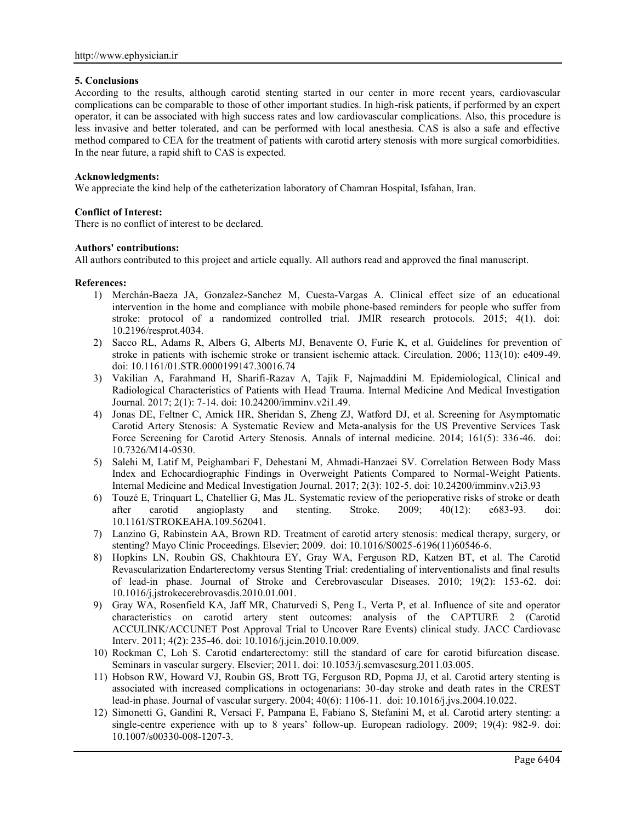#### **5. Conclusions**

According to the results, although carotid stenting started in our center in more recent years, cardiovascular complications can be comparable to those of other important studies. In high-risk patients, if performed by an expert operator, it can be associated with high success rates and low cardiovascular complications. Also, this procedure is less invasive and better tolerated, and can be performed with local anesthesia. CAS is also a safe and effective method compared to CEA for the treatment of patients with carotid artery stenosis with more surgical comorbidities. In the near future, a rapid shift to CAS is expected.

### **Acknowledgments:**

We appreciate the kind help of the catheterization laboratory of Chamran Hospital, Isfahan, Iran.

### **Conflict of Interest:**

There is no conflict of interest to be declared.

### **Authors' contributions:**

All authors contributed to this project and article equally. All authors read and approved the final manuscript.

### **References:**

- 1) Merchán-Baeza JA, Gonzalez-Sanchez M, Cuesta-Vargas A. Clinical effect size of an educational intervention in the home and compliance with mobile phone-based reminders for people who suffer from stroke: protocol of a randomized controlled trial. JMIR research protocols. 2015; 4(1). doi: 10.2196/resprot.4034.
- 2) Sacco RL, Adams R, Albers G, Alberts MJ, Benavente O, Furie K, et al. Guidelines for prevention of stroke in patients with ischemic stroke or transient ischemic attack. Circulation. 2006; 113(10): e409-49. doi: 10.1161/01.STR.0000199147.30016.74
- 3) Vakilian A, Farahmand H, Sharifi-Razav A, Tajik F, Najmaddini M. Epidemiological, Clinical and Radiological Characteristics of Patients with Head Trauma. Internal Medicine And Medical Investigation Journal. 2017; 2(1): 7-14. doi: 10.24200/imminv.v2i1.49.
- 4) Jonas DE, Feltner C, Amick HR, Sheridan S, Zheng ZJ, Watford DJ, et al. Screening for Asymptomatic Carotid Artery Stenosis: A Systematic Review and Meta-analysis for the US Preventive Services Task Force Screening for Carotid Artery Stenosis. Annals of internal medicine. 2014; 161(5): 336-46. doi: 10.7326/M14-0530.
- 5) Salehi M, Latif M, Peighambari F, Dehestani M, Ahmadi-Hanzaei SV. Correlation Between Body Mass Index and Echocardiographic Findings in Overweight Patients Compared to Normal-Weight Patients. Internal Medicine and Medical Investigation Journal. 2017; 2(3): 102-5. doi: 10.24200/imminv.v2i3.93
- 6) Touzé E, Trinquart L, Chatellier G, Mas JL. Systematic review of the perioperative risks of stroke or death after carotid angioplasty and stenting. Stroke. 2009; 40(12): e683-93. doi: 10.1161/STROKEAHA.109.562041.
- 7) Lanzino G, Rabinstein AA, Brown RD. Treatment of carotid artery stenosis: medical therapy, surgery, or stenting? Mayo Clinic Proceedings. Elsevier; 2009. doi: 10.1016/S0025-6196(11)60546-6.
- 8) Hopkins LN, Roubin GS, Chakhtoura EY, Gray WA, Ferguson RD, Katzen BT, et al. The Carotid Revascularization Endarterectomy versus Stenting Trial: credentialing of interventionalists and final results of lead-in phase. Journal of Stroke and Cerebrovascular Diseases. 2010; 19(2): 153-62. doi: 10.1016/j.jstrokecerebrovasdis.2010.01.001.
- 9) Gray WA, Rosenfield KA, Jaff MR, Chaturvedi S, Peng L, Verta P, et al. Influence of site and operator characteristics on carotid artery stent outcomes: analysis of the CAPTURE 2 (Carotid ACCULINK/ACCUNET Post Approval Trial to Uncover Rare Events) clinical study. JACC Cardiovasc Interv. 2011; 4(2): 235-46. doi: 10.1016/j.jcin.2010.10.009.
- 10) Rockman C, Loh S. Carotid endarterectomy: still the standard of care for carotid bifurcation disease. Seminars in vascular surgery. Elsevier; 2011. doi: 10.1053/j.semvascsurg.2011.03.005.
- 11) Hobson RW, Howard VJ, Roubin GS, Brott TG, Ferguson RD, Popma JJ, et al. Carotid artery stenting is associated with increased complications in octogenarians: 30-day stroke and death rates in the CREST lead-in phase. Journal of vascular surgery. 2004; 40(6): 1106-11. doi: 10.1016/j.jvs.2004.10.022.
- 12) Simonetti G, Gandini R, Versaci F, Pampana E, Fabiano S, Stefanini M, et al. Carotid artery stenting: a single-centre experience with up to 8 years' follow-up. European radiology. 2009; 19(4): 982-9. doi: 10.1007/s00330-008-1207-3.